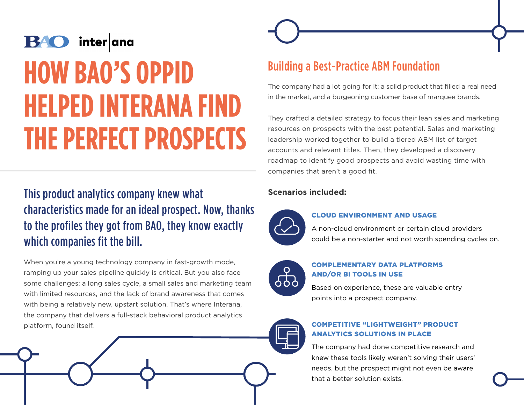# **HOW BAO'S OPPID HELPED INTERANA FIND THE PERFECT PROSPECTS**

# This product analytics company knew what characteristics made for an ideal prospect. Now, thanks to the profiles they got from BAO, they know exactly which companies fit the bill.

When you're a young technology company in fast-growth mode, ramping up your sales pipeline quickly is critical. But you also face some challenges: a long sales cycle, a small sales and marketing team with limited resources, and the lack of brand awareness that comes with being a relatively new, upstart solution. That's where Interana, the company that delivers a full-stack behavioral product analytics platform, found itself.



The company had a lot going for it: a solid product that filled a real need in the market, and a burgeoning customer base of marquee brands.

They crafted a detailed strategy to focus their lean sales and marketing resources on prospects with the best potential. Sales and marketing leadership worked together to build a tiered ABM list of target accounts and relevant titles. Then, they developed a discovery roadmap to identify good prospects and avoid wasting time with companies that aren't a good fit.

#### **Scenarios included:**



#### CLOUD ENVIRONMENT AND USAGE

A non-cloud environment or certain cloud providers could be a non-starter and not worth spending cycles on.



#### COMPLEMENTARY DATA PLATFORMS AND/OR BI TOOLS IN USE

Based on experience, these are valuable entry points into a prospect company.



#### COMPETITIVE "LIGHTWEIGHT" PRODUCT ANALYTICS SOLUTIONS IN PLACE

The company had done competitive research and knew these tools likely weren't solving their users' needs, but the prospect might not even be aware that a better solution exists.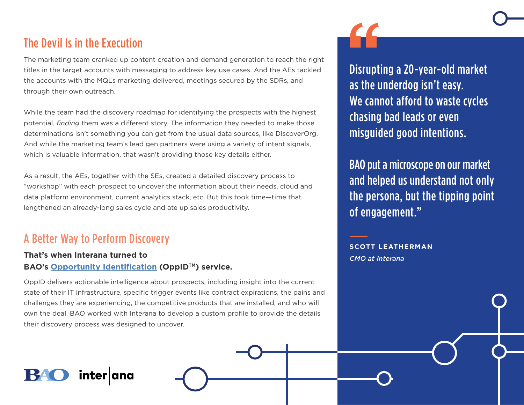## The Devil Is in the Execution

The marketing team cranked up content creation and demand generation to reach the right titles in the target accounts with messaging to address key use cases. And the AEs tackled the accounts with the MQLs marketing delivered, meetings secured by the SDRs, and through their own outreach.

While the team had the discovery roadmap for identifying the prospects with the highest potential, *finding* them was a different story. The information they needed to make those determinations isn't something you can get from the usual data sources, like DiscoverOrg. And while the marketing team's lead gen partners were using a variety of intent signals, which is valuable information, that wasn't providing those key details either.

As a result, the AEs, together with the SEs, created a detailed discovery process to "workshop" with each prospect to uncover the information about their needs, cloud and data platform environment, current analytics stack, etc. But this took time—time that lengthened an already-long sales cycle and ate up sales productivity.

## A Better Way to Perform Discovery

## **That's when Interana turned to BAO's [Opportunity Identification](https://www.baoinc.com/services/opportunity-identification) (OppIDTM) service.**

OppID delivers actionable intelligence about prospects, including insight into the current state of their IT infrastructure, specific trigger events like contract expirations, the pains and challenges they are experiencing, the competitive products that are installed, and who will own the deal. BAO worked with Interana to develop a custom profile to provide the details their discovery process was designed to uncover.



BAO put a microscope on our market and helped us understand not only the persona, but the tipping point of engagement."

**SCOTT LEATHERMAN** *CMO at Interana*